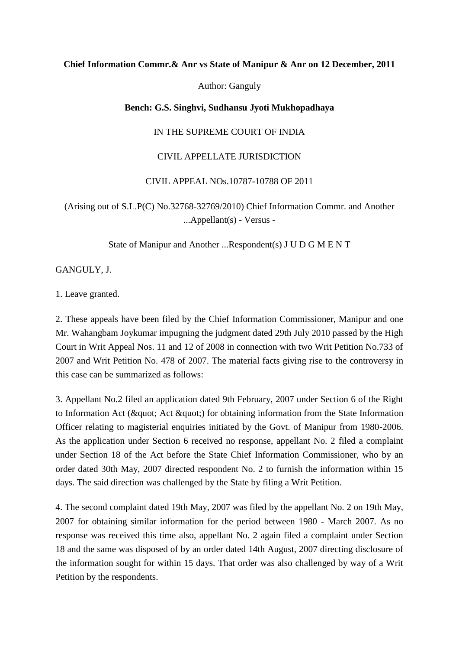## **Chief Information Commr.& Anr vs State of Manipur & Anr on 12 December, 2011**

Author: Ganguly

## **Bench: G.S. Singhvi, Sudhansu Jyoti Mukhopadhaya**

IN THE SUPREME COURT OF INDIA

## CIVIL APPELLATE JURISDICTION

## CIVIL APPEAL NOs.10787-10788 OF 2011

(Arising out of S.L.P(C) No.32768-32769/2010) Chief Information Commr. and Another ...Appellant(s) - Versus -

State of Manipur and Another ...Respondent(s) J U D G M E N T

GANGULY, J.

1. Leave granted.

2. These appeals have been filed by the Chief Information Commissioner, Manipur and one Mr. Wahangbam Joykumar impugning the judgment dated 29th July 2010 passed by the High Court in Writ Appeal Nos. 11 and 12 of 2008 in connection with two Writ Petition No.733 of 2007 and Writ Petition No. 478 of 2007. The material facts giving rise to the controversy in this case can be summarized as follows:

3. Appellant No.2 filed an application dated 9th February, 2007 under Section 6 of the Right to Information Act ( $\&$ quot; Act  $\&$ quot;) for obtaining information from the State Information Officer relating to magisterial enquiries initiated by the Govt. of Manipur from 1980-2006. As the application under Section 6 received no response, appellant No. 2 filed a complaint under Section 18 of the Act before the State Chief Information Commissioner, who by an order dated 30th May, 2007 directed respondent No. 2 to furnish the information within 15 days. The said direction was challenged by the State by filing a Writ Petition.

4. The second complaint dated 19th May, 2007 was filed by the appellant No. 2 on 19th May, 2007 for obtaining similar information for the period between 1980 - March 2007. As no response was received this time also, appellant No. 2 again filed a complaint under Section 18 and the same was disposed of by an order dated 14th August, 2007 directing disclosure of the information sought for within 15 days. That order was also challenged by way of a Writ Petition by the respondents.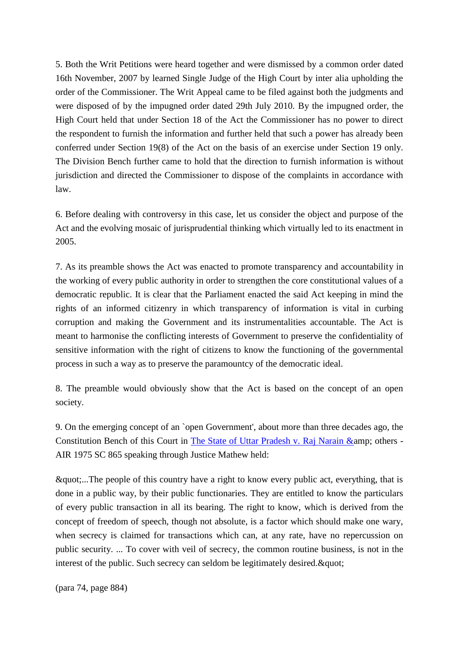5. Both the Writ Petitions were heard together and were dismissed by a common order dated 16th November, 2007 by learned Single Judge of the High Court by inter alia upholding the order of the Commissioner. The Writ Appeal came to be filed against both the judgments and were disposed of by the impugned order dated 29th July 2010. By the impugned order, the High Court held that under Section 18 of the Act the Commissioner has no power to direct the respondent to furnish the information and further held that such a power has already been conferred under Section 19(8) of the Act on the basis of an exercise under Section 19 only. The Division Bench further came to hold that the direction to furnish information is without jurisdiction and directed the Commissioner to dispose of the complaints in accordance with law.

6. Before dealing with controversy in this case, let us consider the object and purpose of the Act and the evolving mosaic of jurisprudential thinking which virtually led to its enactment in 2005.

7. As its preamble shows the Act was enacted to promote transparency and accountability in the working of every public authority in order to strengthen the core constitutional values of a democratic republic. It is clear that the Parliament enacted the said Act keeping in mind the rights of an informed citizenry in which transparency of information is vital in curbing corruption and making the Government and its instrumentalities accountable. The Act is meant to harmonise the conflicting interests of Government to preserve the confidentiality of sensitive information with the right of citizens to know the functioning of the governmental process in such a way as to preserve the paramountcy of the democratic ideal.

8. The preamble would obviously show that the Act is based on the concept of an open society.

9. On the emerging concept of an `open Government', about more than three decades ago, the Constitution Bench of this Court in The State of Uttar Pradesh v. Raj Narain & amp; others -AIR 1975 SC 865 speaking through Justice Mathew held:

"...The people of this country have a right to know every public act, everything, that is done in a public way, by their public functionaries. They are entitled to know the particulars of every public transaction in all its bearing. The right to know, which is derived from the concept of freedom of speech, though not absolute, is a factor which should make one wary, when secrecy is claimed for transactions which can, at any rate, have no repercussion on public security. ... To cover with veil of secrecy, the common routine business, is not in the interest of the public. Such secrecy can seldom be legitimately desired. & quot;

(para 74, page 884)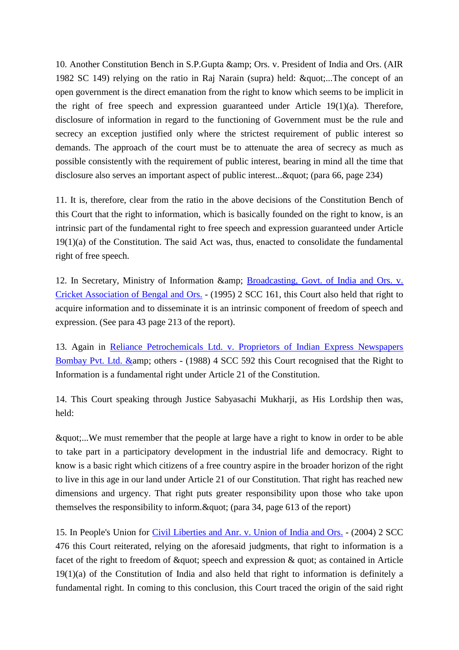10. Another Constitution Bench in S.P.Gupta & amp; Ors. v. President of India and Ors. (AIR 1982 SC 149) relying on the ratio in Raj Narain (supra) held: "...The concept of an open government is the direct emanation from the right to know which seems to be implicit in the right of free speech and expression guaranteed under Article 19(1)(a). Therefore, disclosure of information in regard to the functioning of Government must be the rule and secrecy an exception justified only where the strictest requirement of public interest so demands. The approach of the court must be to attenuate the area of secrecy as much as possible consistently with the requirement of public interest, bearing in mind all the time that disclosure also serves an important aspect of public interest...& quot; (para 66, page 234)

11. It is, therefore, clear from the ratio in the above decisions of the Constitution Bench of this Court that the right to information, which is basically founded on the right to know, is an intrinsic part of the fundamental right to free speech and expression guaranteed under Article 19(1)(a) of the Constitution. The said Act was, thus, enacted to consolidate the fundamental right of free speech.

12. In Secretary, Ministry of Information & amp; Broadcasting, Govt. of India and Ors. v. [Cricket Association of Bengal and](http://www.indiankanoon.org/doc/539407/) Ors. - (1995) 2 SCC 161, this Court also held that right to acquire information and to disseminate it is an intrinsic component of freedom of speech and expression. (See para 43 page 213 of the report).

13. Again in [Reliance Petrochemicals Ltd. v. Proprietors of Indian Express Newspapers](http://www.indiankanoon.org/doc/1351834/)  Bombay Pvt. Ltd. & amp; others - (1988) 4 SCC 592 this Court recognised that the Right to Information is a fundamental right under Article 21 of the Constitution.

14. This Court speaking through Justice Sabyasachi Mukharji, as His Lordship then was, held:

"...We must remember that the people at large have a right to know in order to be able to take part in a participatory development in the industrial life and democracy. Right to know is a basic right which citizens of a free country aspire in the broader horizon of the right to live in this age in our land under Article 21 of our Constitution. That right has reached new dimensions and urgency. That right puts greater responsibility upon those who take upon themselves the responsibility to inform.  $\&$  agetacherence  $($  page 613 of the report)

15. In People's Union for [Civil Liberties and Anr. v. Union of India and Ors.](http://www.indiankanoon.org/doc/411836/) - (2004) 2 SCC 476 this Court reiterated, relying on the aforesaid judgments, that right to information is a facet of the right to freedom of  $\&$ quot; speech and expression  $\&$  quot; as contained in Article 19(1)(a) of the Constitution of India and also held that right to information is definitely a fundamental right. In coming to this conclusion, this Court traced the origin of the said right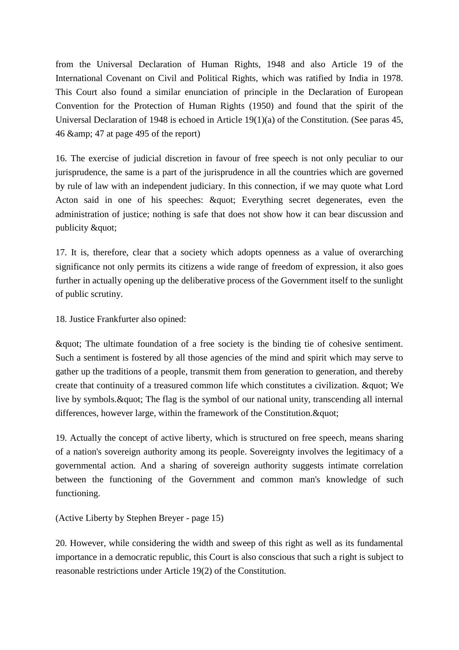from the Universal Declaration of Human Rights, 1948 and also Article 19 of the International Covenant on Civil and Political Rights, which was ratified by India in 1978. This Court also found a similar enunciation of principle in the Declaration of European Convention for the Protection of Human Rights (1950) and found that the spirit of the Universal Declaration of 1948 is echoed in Article 19(1)(a) of the Constitution. (See paras 45, 46 & amp; 47 at page 495 of the report)

16. The exercise of judicial discretion in favour of free speech is not only peculiar to our jurisprudence, the same is a part of the jurisprudence in all the countries which are governed by rule of law with an independent judiciary. In this connection, if we may quote what Lord Acton said in one of his speeches:  $\&$ quot; Everything secret degenerates, even the administration of justice; nothing is safe that does not show how it can bear discussion and publicity & quot;

17. It is, therefore, clear that a society which adopts openness as a value of overarching significance not only permits its citizens a wide range of freedom of expression, it also goes further in actually opening up the deliberative process of the Government itself to the sunlight of public scrutiny.

18. Justice Frankfurter also opined:

" The ultimate foundation of a free society is the binding tie of cohesive sentiment. Such a sentiment is fostered by all those agencies of the mind and spirit which may serve to gather up the traditions of a people, transmit them from generation to generation, and thereby create that continuity of a treasured common life which constitutes a civilization.  $\&$  quot; We live by symbols. & quot; The flag is the symbol of our national unity, transcending all internal differences, however large, within the framework of the Constitution. & quot;

19. Actually the concept of active liberty, which is structured on free speech, means sharing of a nation's sovereign authority among its people. Sovereignty involves the legitimacy of a governmental action. And a sharing of sovereign authority suggests intimate correlation between the functioning of the Government and common man's knowledge of such functioning.

(Active Liberty by Stephen Breyer - page 15)

20. However, while considering the width and sweep of this right as well as its fundamental importance in a democratic republic, this Court is also conscious that such a right is subject to reasonable restrictions under Article 19(2) of the Constitution.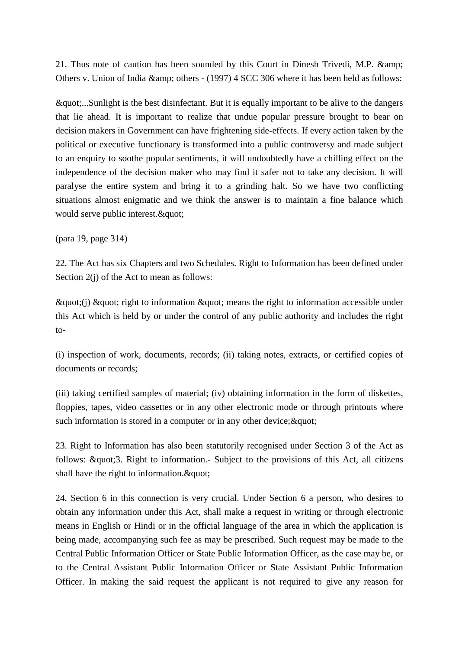21. Thus note of caution has been sounded by this Court in Dinesh Trivedi, M.P. & Others v. Union of India & amp; others - (1997) 4 SCC 306 where it has been held as follows:

"...Sunlight is the best disinfectant. But it is equally important to be alive to the dangers that lie ahead. It is important to realize that undue popular pressure brought to bear on decision makers in Government can have frightening side-effects. If every action taken by the political or executive functionary is transformed into a public controversy and made subject to an enquiry to soothe popular sentiments, it will undoubtedly have a chilling effect on the independence of the decision maker who may find it safer not to take any decision. It will paralyse the entire system and bring it to a grinding halt. So we have two conflicting situations almost enigmatic and we think the answer is to maintain a fine balance which would serve public interest. & quot;

(para 19, page 314)

22. The Act has six Chapters and two Schedules. Right to Information has been defined under Section 2(j) of the Act to mean as follows:

 $\&$ quot; (j)  $\&$ quot; right to information  $\&$ quot; means the right to information accessible under this Act which is held by or under the control of any public authority and includes the right to-

(i) inspection of work, documents, records; (ii) taking notes, extracts, or certified copies of documents or records;

(iii) taking certified samples of material; (iv) obtaining information in the form of diskettes, floppies, tapes, video cassettes or in any other electronic mode or through printouts where such information is stored in a computer or in any other device;  $\&$  quot;

23. Right to Information has also been statutorily recognised under Section 3 of the Act as follows: "3. Right to information.- Subject to the provisions of this Act, all citizens shall have the right to information. & quot;

24. Section 6 in this connection is very crucial. Under Section 6 a person, who desires to obtain any information under this Act, shall make a request in writing or through electronic means in English or Hindi or in the official language of the area in which the application is being made, accompanying such fee as may be prescribed. Such request may be made to the Central Public Information Officer or State Public Information Officer, as the case may be, or to the Central Assistant Public Information Officer or State Assistant Public Information Officer. In making the said request the applicant is not required to give any reason for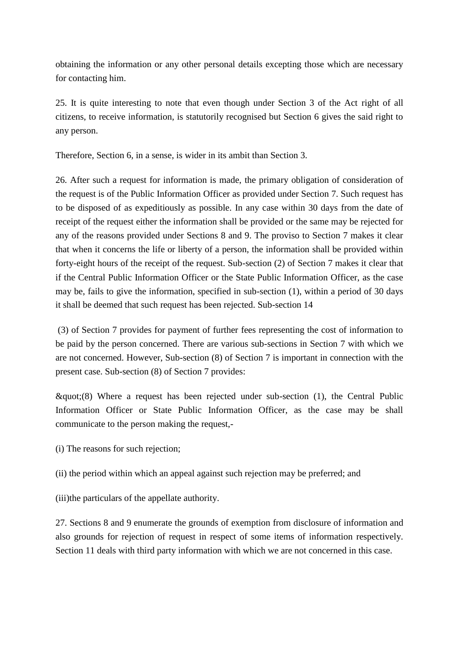obtaining the information or any other personal details excepting those which are necessary for contacting him.

25. It is quite interesting to note that even though under Section 3 of the Act right of all citizens, to receive information, is statutorily recognised but Section 6 gives the said right to any person.

Therefore, Section 6, in a sense, is wider in its ambit than Section 3.

26. After such a request for information is made, the primary obligation of consideration of the request is of the Public Information Officer as provided under Section 7. Such request has to be disposed of as expeditiously as possible. In any case within 30 days from the date of receipt of the request either the information shall be provided or the same may be rejected for any of the reasons provided under Sections 8 and 9. The proviso to Section 7 makes it clear that when it concerns the life or liberty of a person, the information shall be provided within forty-eight hours of the receipt of the request. Sub-section (2) of Section 7 makes it clear that if the Central Public Information Officer or the State Public Information Officer, as the case may be, fails to give the information, specified in sub-section (1), within a period of 30 days it shall be deemed that such request has been rejected. Sub-section 14

(3) of Section 7 provides for payment of further fees representing the cost of information to be paid by the person concerned. There are various sub-sections in Section 7 with which we are not concerned. However, Sub-section (8) of Section 7 is important in connection with the present case. Sub-section (8) of Section 7 provides:

 $\&$ quot;(8) Where a request has been rejected under sub-section (1), the Central Public Information Officer or State Public Information Officer, as the case may be shall communicate to the person making the request,-

- (i) The reasons for such rejection;
- (ii) the period within which an appeal against such rejection may be preferred; and

(iii)the particulars of the appellate authority.

27. Sections 8 and 9 enumerate the grounds of exemption from disclosure of information and also grounds for rejection of request in respect of some items of information respectively. Section 11 deals with third party information with which we are not concerned in this case.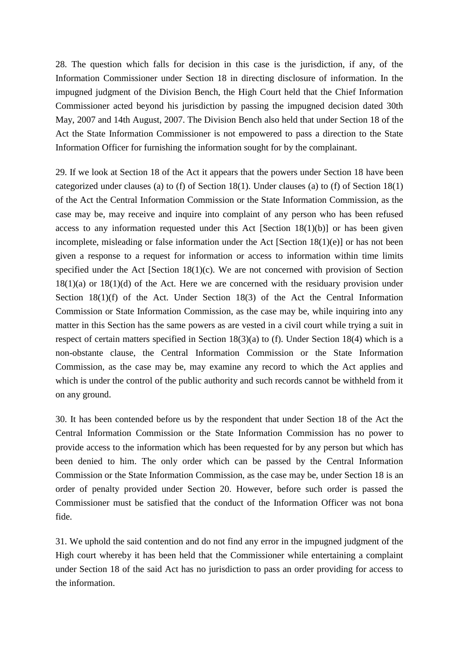28. The question which falls for decision in this case is the jurisdiction, if any, of the Information Commissioner under Section 18 in directing disclosure of information. In the impugned judgment of the Division Bench, the High Court held that the Chief Information Commissioner acted beyond his jurisdiction by passing the impugned decision dated 30th May, 2007 and 14th August, 2007. The Division Bench also held that under Section 18 of the Act the State Information Commissioner is not empowered to pass a direction to the State Information Officer for furnishing the information sought for by the complainant.

29. If we look at Section 18 of the Act it appears that the powers under Section 18 have been categorized under clauses (a) to (f) of Section 18(1). Under clauses (a) to (f) of Section 18(1) of the Act the Central Information Commission or the State Information Commission, as the case may be, may receive and inquire into complaint of any person who has been refused access to any information requested under this Act  $[Section 18(1)(b)]$  or has been given incomplete, misleading or false information under the Act [Section 18(1)(e)] or has not been given a response to a request for information or access to information within time limits specified under the Act [Section 18(1)(c). We are not concerned with provision of Section  $18(1)(a)$  or  $18(1)(d)$  of the Act. Here we are concerned with the residuary provision under Section 18(1)(f) of the Act. Under Section 18(3) of the Act the Central Information Commission or State Information Commission, as the case may be, while inquiring into any matter in this Section has the same powers as are vested in a civil court while trying a suit in respect of certain matters specified in Section 18(3)(a) to (f). Under Section 18(4) which is a non-obstante clause, the Central Information Commission or the State Information Commission, as the case may be, may examine any record to which the Act applies and which is under the control of the public authority and such records cannot be withheld from it on any ground.

30. It has been contended before us by the respondent that under Section 18 of the Act the Central Information Commission or the State Information Commission has no power to provide access to the information which has been requested for by any person but which has been denied to him. The only order which can be passed by the Central Information Commission or the State Information Commission, as the case may be, under Section 18 is an order of penalty provided under Section 20. However, before such order is passed the Commissioner must be satisfied that the conduct of the Information Officer was not bona fide.

31. We uphold the said contention and do not find any error in the impugned judgment of the High court whereby it has been held that the Commissioner while entertaining a complaint under Section 18 of the said Act has no jurisdiction to pass an order providing for access to the information.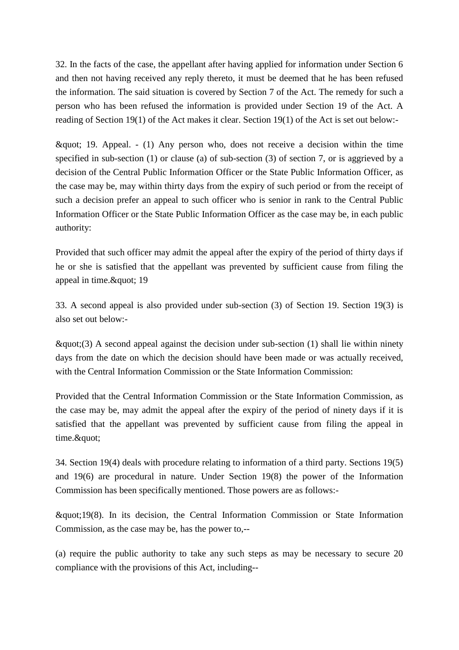32. In the facts of the case, the appellant after having applied for information under Section 6 and then not having received any reply thereto, it must be deemed that he has been refused the information. The said situation is covered by Section 7 of the Act. The remedy for such a person who has been refused the information is provided under Section 19 of the Act. A reading of Section 19(1) of the Act makes it clear. Section 19(1) of the Act is set out below:-

 $\&$ quot; 19. Appeal. - (1) Any person who, does not receive a decision within the time specified in sub-section (1) or clause (a) of sub-section (3) of section 7, or is aggrieved by a decision of the Central Public Information Officer or the State Public Information Officer, as the case may be, may within thirty days from the expiry of such period or from the receipt of such a decision prefer an appeal to such officer who is senior in rank to the Central Public Information Officer or the State Public Information Officer as the case may be, in each public authority:

Provided that such officer may admit the appeal after the expiry of the period of thirty days if he or she is satisfied that the appellant was prevented by sufficient cause from filing the appeal in time. & quot; 19

33. A second appeal is also provided under sub-section (3) of Section 19. Section 19(3) is also set out below:-

 $\&$ quot:(3) A second appeal against the decision under sub-section (1) shall lie within ninety days from the date on which the decision should have been made or was actually received, with the Central Information Commission or the State Information Commission:

Provided that the Central Information Commission or the State Information Commission, as the case may be, may admit the appeal after the expiry of the period of ninety days if it is satisfied that the appellant was prevented by sufficient cause from filing the appeal in time."

34. Section 19(4) deals with procedure relating to information of a third party. Sections 19(5) and 19(6) are procedural in nature. Under Section 19(8) the power of the Information Commission has been specifically mentioned. Those powers are as follows:-

"19(8). In its decision, the Central Information Commission or State Information Commission, as the case may be, has the power to,--

(a) require the public authority to take any such steps as may be necessary to secure 20 compliance with the provisions of this Act, including--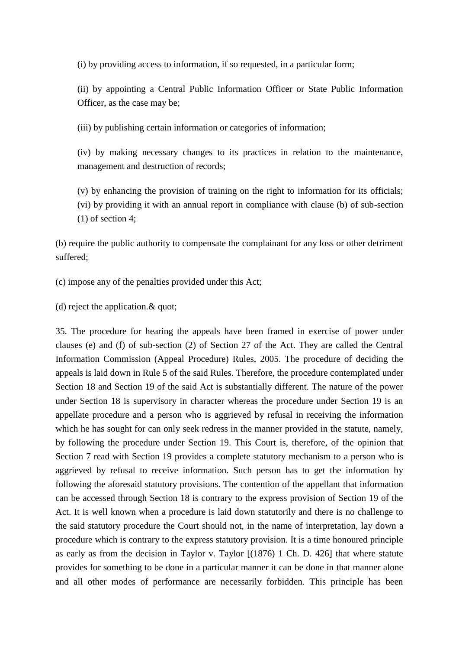(i) by providing access to information, if so requested, in a particular form;

(ii) by appointing a Central Public Information Officer or State Public Information Officer, as the case may be;

(iii) by publishing certain information or categories of information;

(iv) by making necessary changes to its practices in relation to the maintenance, management and destruction of records;

(v) by enhancing the provision of training on the right to information for its officials; (vi) by providing it with an annual report in compliance with clause (b) of sub-section (1) of section 4;

(b) require the public authority to compensate the complainant for any loss or other detriment suffered;

(c) impose any of the penalties provided under this Act;

(d) reject the application.& quot;

35. The procedure for hearing the appeals have been framed in exercise of power under clauses (e) and (f) of sub-section (2) of Section 27 of the Act. They are called the Central Information Commission (Appeal Procedure) Rules, 2005. The procedure of deciding the appeals is laid down in Rule 5 of the said Rules. Therefore, the procedure contemplated under Section 18 and Section 19 of the said Act is substantially different. The nature of the power under Section 18 is supervisory in character whereas the procedure under Section 19 is an appellate procedure and a person who is aggrieved by refusal in receiving the information which he has sought for can only seek redress in the manner provided in the statute, namely, by following the procedure under Section 19. This Court is, therefore, of the opinion that Section 7 read with Section 19 provides a complete statutory mechanism to a person who is aggrieved by refusal to receive information. Such person has to get the information by following the aforesaid statutory provisions. The contention of the appellant that information can be accessed through Section 18 is contrary to the express provision of Section 19 of the Act. It is well known when a procedure is laid down statutorily and there is no challenge to the said statutory procedure the Court should not, in the name of interpretation, lay down a procedure which is contrary to the express statutory provision. It is a time honoured principle as early as from the decision in Taylor v. Taylor [(1876) 1 Ch. D. 426] that where statute provides for something to be done in a particular manner it can be done in that manner alone and all other modes of performance are necessarily forbidden. This principle has been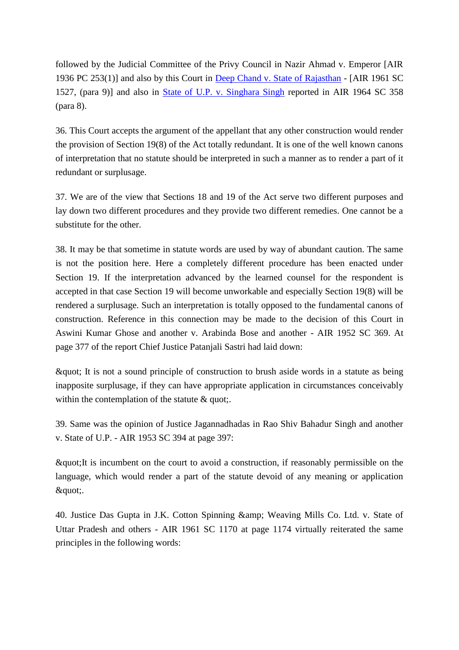followed by the Judicial Committee of the Privy Council in Nazir Ahmad v. Emperor [AIR 1936 PC 253(1)] and also by this Court in [Deep Chand v. State of Rajasthan](http://www.indiankanoon.org/doc/794815/) - [AIR 1961 SC 1527, (para 9)] and also in [State of U.P. v. Singhara Singh](http://www.indiankanoon.org/doc/407511/) reported in AIR 1964 SC 358 (para 8).

36. This Court accepts the argument of the appellant that any other construction would render the provision of Section 19(8) of the Act totally redundant. It is one of the well known canons of interpretation that no statute should be interpreted in such a manner as to render a part of it redundant or surplusage.

37. We are of the view that Sections 18 and 19 of the Act serve two different purposes and lay down two different procedures and they provide two different remedies. One cannot be a substitute for the other.

38. It may be that sometime in statute words are used by way of abundant caution. The same is not the position here. Here a completely different procedure has been enacted under Section 19. If the interpretation advanced by the learned counsel for the respondent is accepted in that case Section 19 will become unworkable and especially Section 19(8) will be rendered a surplusage. Such an interpretation is totally opposed to the fundamental canons of construction. Reference in this connection may be made to the decision of this Court in Aswini Kumar Ghose and another v. Arabinda Bose and another - AIR 1952 SC 369. At page 377 of the report Chief Justice Patanjali Sastri had laid down:

" It is not a sound principle of construction to brush aside words in a statute as being inapposite surplusage, if they can have appropriate application in circumstances conceivably within the contemplation of the statute & quot;.

39. Same was the opinion of Justice Jagannadhadas in Rao Shiv Bahadur Singh and another v. State of U.P. - AIR 1953 SC 394 at page 397:

"It is incumbent on the court to avoid a construction, if reasonably permissible on the language, which would render a part of the statute devoid of any meaning or application ".

40. Justice Das Gupta in J.K. Cotton Spinning & amp; Weaving Mills Co. Ltd. v. State of Uttar Pradesh and others - AIR 1961 SC 1170 at page 1174 virtually reiterated the same principles in the following words: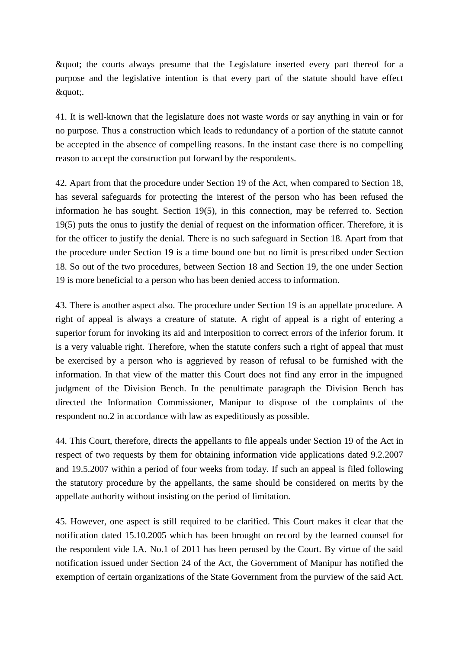" the courts always presume that the Legislature inserted every part thereof for a purpose and the legislative intention is that every part of the statute should have effect ".

41. It is well-known that the legislature does not waste words or say anything in vain or for no purpose. Thus a construction which leads to redundancy of a portion of the statute cannot be accepted in the absence of compelling reasons. In the instant case there is no compelling reason to accept the construction put forward by the respondents.

42. Apart from that the procedure under Section 19 of the Act, when compared to Section 18, has several safeguards for protecting the interest of the person who has been refused the information he has sought. Section 19(5), in this connection, may be referred to. Section 19(5) puts the onus to justify the denial of request on the information officer. Therefore, it is for the officer to justify the denial. There is no such safeguard in Section 18. Apart from that the procedure under Section 19 is a time bound one but no limit is prescribed under Section 18. So out of the two procedures, between Section 18 and Section 19, the one under Section 19 is more beneficial to a person who has been denied access to information.

43. There is another aspect also. The procedure under Section 19 is an appellate procedure. A right of appeal is always a creature of statute. A right of appeal is a right of entering a superior forum for invoking its aid and interposition to correct errors of the inferior forum. It is a very valuable right. Therefore, when the statute confers such a right of appeal that must be exercised by a person who is aggrieved by reason of refusal to be furnished with the information. In that view of the matter this Court does not find any error in the impugned judgment of the Division Bench. In the penultimate paragraph the Division Bench has directed the Information Commissioner, Manipur to dispose of the complaints of the respondent no.2 in accordance with law as expeditiously as possible.

44. This Court, therefore, directs the appellants to file appeals under Section 19 of the Act in respect of two requests by them for obtaining information vide applications dated 9.2.2007 and 19.5.2007 within a period of four weeks from today. If such an appeal is filed following the statutory procedure by the appellants, the same should be considered on merits by the appellate authority without insisting on the period of limitation.

45. However, one aspect is still required to be clarified. This Court makes it clear that the notification dated 15.10.2005 which has been brought on record by the learned counsel for the respondent vide I.A. No.1 of 2011 has been perused by the Court. By virtue of the said notification issued under Section 24 of the Act, the Government of Manipur has notified the exemption of certain organizations of the State Government from the purview of the said Act.